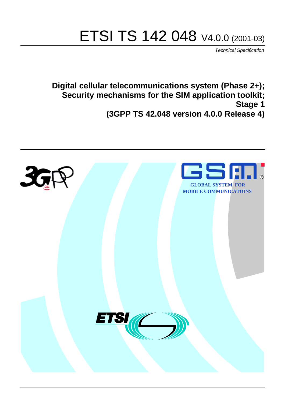# ETSI TS 142 048 V4.0.0 (2001-03)

Technical Specification

**Digital cellular telecommunications system (Phase 2+); Security mechanisms for the SIM application toolkit; Stage 1 (3GPP TS 42.048 version 4.0.0 Release 4)**

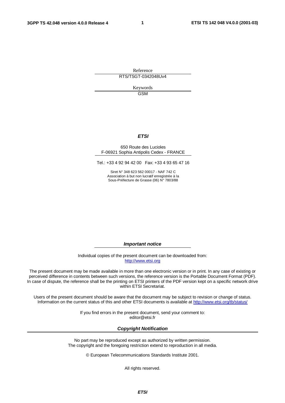**1**

Reference RTS/TSGT-0342048Uv4

> Keywords GSM

#### **ETSI**

#### 650 Route des Lucioles F-06921 Sophia Antipolis Cedex - FRANCE

Tel.: +33 4 92 94 42 00 Fax: +33 4 93 65 47 16

Siret N° 348 623 562 00017 - NAF 742 C Association à but non lucratif enregistrée à la Sous-Préfecture de Grasse (06) N° 7803/88

**Important notice**

Individual copies of the present document can be downloaded from: [http://www.etsi.org](http://www.etsi.org/)

The present document may be made available in more than one electronic version or in print. In any case of existing or perceived difference in contents between such versions, the reference version is the Portable Document Format (PDF). In case of dispute, the reference shall be the printing on ETSI printers of the PDF version kept on a specific network drive within ETSI Secretariat.

Users of the present document should be aware that the document may be subject to revision or change of status. Information on the current status of this and other ETSI documents is available at <http://www.etsi.org/tb/status>/

> If you find errors in the present document, send your comment to: <editor@etsi.fr>

#### **Copyright Notification**

No part may be reproduced except as authorized by written permission. The copyright and the foregoing restriction extend to reproduction in all media.

© European Telecommunications Standards Institute 2001.

All rights reserved.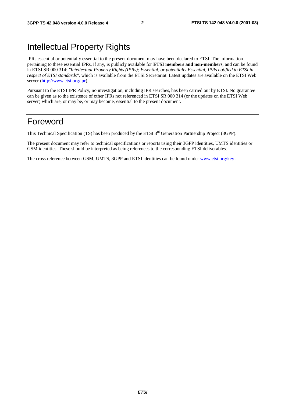# Intellectual Property Rights

IPRs essential or potentially essential to the present document may have been declared to ETSI. The information pertaining to these essential IPRs, if any, is publicly available for **ETSI members and non-members**, and can be found in ETSI SR 000 314: *"Intellectual Property Rights (IPRs); Essential, or potentially Essential, IPRs notified to ETSI in respect of ETSI standards"*, which is available from the ETSI Secretariat. Latest updates are available on the ETSI Web server [\(http://www.etsi.org/ipr\)](http://www.etsi.org/ipr).

Pursuant to the ETSI IPR Policy, no investigation, including IPR searches, has been carried out by ETSI. No guarantee can be given as to the existence of other IPRs not referenced in ETSI SR 000 314 (or the updates on the ETSI Web server) which are, or may be, or may become, essential to the present document.

# Foreword

This Technical Specification (TS) has been produced by the ETSI 3<sup>rd</sup> Generation Partnership Project (3GPP).

The present document may refer to technical specifications or reports using their 3GPP identities, UMTS identities or GSM identities. These should be interpreted as being references to the corresponding ETSI deliverables.

The cross reference between GSM, UMTS, 3GPP and ETSI identities can be found under [www.etsi.org/key](http://www.etsi.org/key) .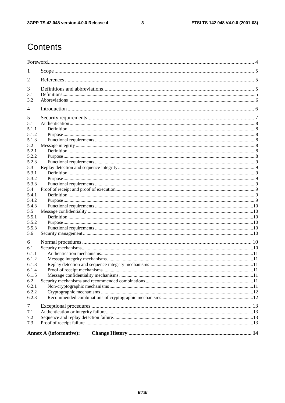#### $\mathbf{3}$

# Contents

| $\perp$                                                                                                                                                   |                               |  |  |  |  |  |
|-----------------------------------------------------------------------------------------------------------------------------------------------------------|-------------------------------|--|--|--|--|--|
| 2                                                                                                                                                         |                               |  |  |  |  |  |
| 3<br>3.1<br>3.2                                                                                                                                           |                               |  |  |  |  |  |
| 4                                                                                                                                                         |                               |  |  |  |  |  |
| 5<br>5.1<br>5.1.1<br>5.1.2<br>5.1.3<br>5.2<br>5.2.1<br>5.2.2<br>5.2.3<br>5.3<br>5.3.1<br>5.3.2<br>5.3.3<br>5.4<br>5.4.1<br>5.4.2<br>5.4.3<br>5.5<br>5.5.1 |                               |  |  |  |  |  |
| 5.5.2<br>5.5.3                                                                                                                                            |                               |  |  |  |  |  |
| 5.6<br>6<br>6.1<br>6.1.1<br>6.1.2<br>6.1.3<br>6.1.4<br>6.1.5<br>6.2<br>6.2.1<br>6.2.2<br>6.2.3<br>7                                                       |                               |  |  |  |  |  |
| 7.1<br>7.2<br>7.3                                                                                                                                         |                               |  |  |  |  |  |
|                                                                                                                                                           | <b>Annex A (informative):</b> |  |  |  |  |  |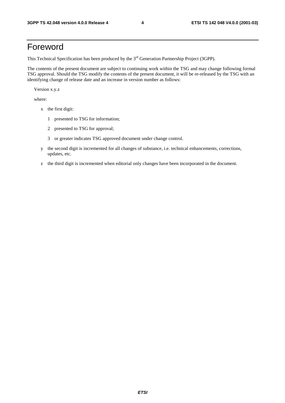# Foreword

This Technical Specification has been produced by the 3<sup>rd</sup> Generation Partnership Project (3GPP).

The contents of the present document are subject to continuing work within the TSG and may change following formal TSG approval. Should the TSG modify the contents of the present document, it will be re-released by the TSG with an identifying change of release date and an increase in version number as follows:

Version x.y.z

where:

- x the first digit:
	- 1 presented to TSG for information;
	- 2 presented to TSG for approval;
	- 3 or greater indicates TSG approved document under change control.
- y the second digit is incremented for all changes of substance, i.e. technical enhancements, corrections, updates, etc.
- z the third digit is incremented when editorial only changes have been incorporated in the document.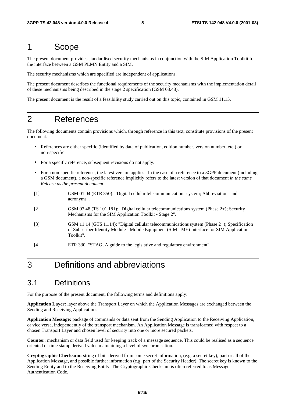# 1 Scope

The present document provides standardised security mechanisms in conjunction with the SIM Application Toolkit for the interface between a GSM PLMN Entity and a SIM.

The security mechanisms which are specified are independent of applications.

The present document describes the functional requirements of the security mechanisms with the implementation detail of these mechanisms being described in the stage 2 specification (GSM 03.48).

The present document is the result of a feasibility study carried out on this topic, contained in GSM 11.15.

# 2 References

The following documents contain provisions which, through reference in this text, constitute provisions of the present document.

- References are either specific (identified by date of publication, edition number, version number, etc.) or non-specific.
- For a specific reference, subsequent revisions do not apply.
- For a non-specific reference, the latest version applies. In the case of a reference to a 3GPP document (including a GSM document), a non-specific reference implicitly refers to the latest version of that document *in the same Release as the present document*.
- [1] GSM 01.04 (ETR 350): "Digital cellular telecommunications system; Abbreviations and acronyms".
- [2] GSM 03.48 (TS 101 181): "Digital cellular telecommunications system (Phase 2+); Security Mechanisms for the SIM Application Toolkit - Stage 2".
- [3] GSM 11.14 (GTS 11.14): "Digital cellular telecommunications system (Phase 2+); Specification of Subscriber Identity Module - Mobile Equipment (SIM - ME) Interface for SIM Application Toolkit".
- [4] ETR 330: "STAG; A guide to the legislative and regulatory environment".

# 3 Definitions and abbreviations

### 3.1 Definitions

For the purpose of the present document, the following terms and definitions apply:

**Application Layer:** layer above the Transport Layer on which the Application Messages are exchanged between the Sending and Receiving Applications.

**Application Message:** package of commands or data sent from the Sending Application to the Receiving Application, or vice versa, independently of the transport mechanism. An Application Message is transformed with respect to a chosen Transport Layer and chosen level of security into one or more secured packets.

**Counter:** mechanism or data field used for keeping track of a message sequence. This could be realised as a sequence oriented or time stamp derived value maintaining a level of synchronisation.

**Cryptographic Checksum:** string of bits derived from some secret information, (e.g. a secret key), part or all of the Application Message, and possible further information (e.g. part of the Security Header). The secret key is known to the Sending Entity and to the Receiving Entity. The Cryptographic Checksum is often referred to as Message Authentication Code.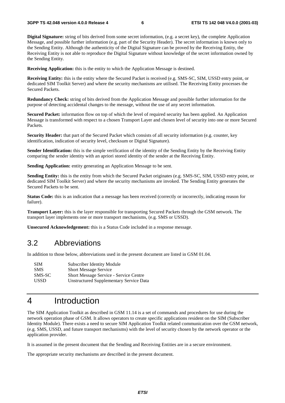**Digital Signature:** string of bits derived from some secret information, (e.g. a secret key), the complete Application Message, and possible further information (e.g. part of the Security Header). The secret information is known only to the Sending Entity. Although the authenticity of the Digital Signature can be proved by the Receiving Entity, the Receiving Entity is not able to reproduce the Digital Signature without knowledge of the secret information owned by the Sending Entity.

**Receiving Application:** this is the entity to which the Application Message is destined.

**Receiving Entity:** this is the entity where the Secured Packet is received (e.g. SMS-SC, SIM, USSD entry point, or dedicated SIM Toolkit Server) and where the security mechanisms are utilised. The Receiving Entity processes the Secured Packets.

**Redundancy Check:** string of bits derived from the Application Message and possible further information for the purpose of detecting accidental changes to the message, without the use of any secret information.

**Secured Packet:** information flow on top of which the level of required security has been applied. An Application Message is transformed with respect to a chosen Transport Layer and chosen level of security into one or more Secured Packets.

**Security Header:** that part of the Secured Packet which consists of all security information (e.g. counter, key identification, indication of security level, checksum or Digital Signature).

**Sender Identification:** this is the simple verification of the identity of the Sending Entity by the Receiving Entity comparing the sender identity with an apriori stored identity of the sender at the Receiving Entity.

**Sending Application:** entity generating an Application Message to be sent.

**Sending Entity:** this is the entity from which the Secured Packet originates (e.g. SMS-SC, SIM, USSD entry point, or dedicated SIM Toolkit Server) and where the security mechanisms are invoked. The Sending Entity generates the Secured Packets to be sent.

**Status Code:** this is an indication that a message has been received (correctly or incorrectly, indicating reason for failure).

**Transport Layer:** this is the layer responsible for transporting Secured Packets through the GSM network. The transport layer implements one or more transport mechanisms, (e.g. SMS or USSD).

**Unsecured Acknowledgement:** this is a Status Code included in a response message.

### 3.2 Abbreviations

In addition to those below, abbreviations used in the present document are listed in GSM 01.04.

| -SIM        | Subscriber Identity Module                     |
|-------------|------------------------------------------------|
| <b>SMS</b>  | <b>Short Message Service</b>                   |
| SMS-SC      | <b>Short Message Service - Service Centre</b>  |
| <b>USSD</b> | <b>Unstructured Supplementary Service Data</b> |

# 4 Introduction

The SIM Application Toolkit as described in GSM 11.14 is a set of commands and procedures for use during the network operation phase of GSM. It allows operators to create specific applications resident on the SIM (Subscriber Identity Module). There exists a need to secure SIM Application Toolkit related communication over the GSM network, (e.g. SMS, USSD, and future transport mechanisms) with the level of security chosen by the network operator or the application provider.

It is assumed in the present document that the Sending and Receiving Entities are in a secure environment.

The appropriate security mechanisms are described in the present document.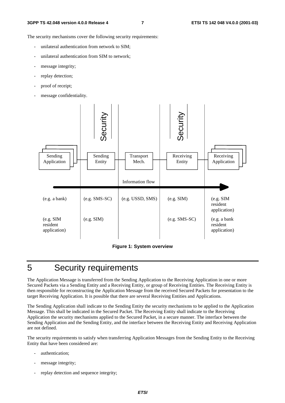The security mechanisms cover the following security requirements:

- unilateral authentication from network to SIM;
- unilateral authentication from SIM to network:
- message integrity;
- replay detection;
- proof of receipt;
- message confidentiality.





# 5 Security requirements

The Application Message is transferred from the Sending Application to the Receiving Application in one or more Secured Packets via a Sending Entity and a Receiving Entity, or group of Receiving Entities. The Receiving Entity is then responsible for reconstructing the Application Message from the received Secured Packets for presentation to the target Receiving Application. It is possible that there are several Receiving Entities and Applications.

The Sending Application shall indicate to the Sending Entity the security mechanisms to be applied to the Application Message. This shall be indicated in the Secured Packet. The Receiving Entity shall indicate to the Receiving Application the security mechanisms applied to the Secured Packet, in a secure manner. The interface between the Sending Application and the Sending Entity, and the interface between the Receiving Entity and Receiving Application are not defined.

The security requirements to satisfy when transferring Application Messages from the Sending Entity to the Receiving Entity that have been considered are:

- authentication;
- message integrity;
- replay detection and sequence integrity;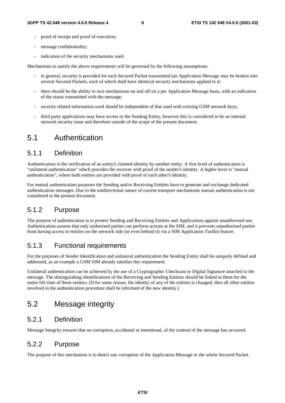- proof of receipt and proof of execution;
- message confidentiality;
- indication of the security mechanisms used.

Mechanisms to satisfy the above requirements will be governed by the following assumptions:

- in general, security is provided for each Secured Packet transmitted (an Application Message may be broken into several Secured Packets, each of which shall have identical security mechanisms applied to it;
- there should be the ability to turn mechanisms on and off on a per Application Message basis, with an indication of the status transmitted with the message;
- security related information used should be independent of that used with existing GSM network keys;
- third party applications may have access to the Sending Entity, however this is considered to be an internal network security issue and therefore outside of the scope of the present document.

### 5.1 Authentication

#### 5.1.1 Definition

Authentication is the verification of an entity's claimed identity by another entity. A first level of authentication is "unilateral authentication" which provides the receiver with proof of the sender's identity. A higher level is "mutual authentication", where both entities are provided with proof of each other's identity.

For mutual authentication purposes the Sending and/or Receiving Entities have to generate and exchange dedicated authentication messages. Due to the unidirectional nature of current transport mechanisms mutual authentication is not considered in the present document.

#### 5.1.2 Purpose

The purpose of authentication is to protect Sending and Receiving Entities and Applications against unauthorised use. Authentication assures that only authorised parties can perform actions at the SIM, and it prevents unauthorised parties from having access to entities on the network side (or even behind it) via a SIM Application Toolkit feature.

#### 5.1.3 Functional requirements

For the purposes of Sender Identification and unilateral authentication the Sending Entity shall be uniquely defined and addressed, as an example a GSM SIM already satisfies this requirement.

Unilateral authentication can be achieved by the use of a Cryptographic Checksum or Digital Signature attached to the message. The distinguishing identifications of the Receiving and Sending Entities should be linked to them for the entire life time of these entities. (If for some reason, the identity of any of the entities is changed, then all other entities involved in the authentication procedure shall be informed of the new identity.)

# 5.2 Message integrity

#### 5.2.1 Definition

Message Integrity ensures that no corruption, accidental or intentional, of the content of the message has occurred.

#### 5.2.2 Purpose

The purpose of this mechanism is to detect any corruption of the Application Message or the whole Secured Packet.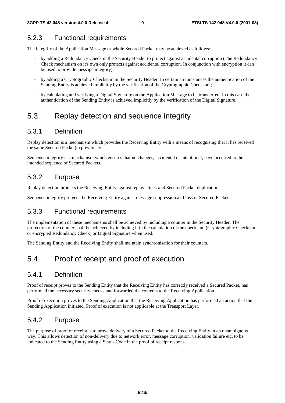# 5.2.3 Functional requirements

The integrity of the Application Message or whole Secured Packet may be achieved as follows:

- by adding a Redundancy Check in the Security Header to protect against accidental corruption (The Redundancy Check mechanism on it's own only protects against accidental corruption. In conjunction with encryption it can be used to provide message integrity);
- by adding a Cryptographic Checksum in the Security Header. In certain circumstances the authentication of the Sending Entity is achieved implicitly by the verification of the Cryptographic Checksum;
- by calculating and verifying a Digital Signature on the Application Message to be transferred. In this case the authentication of the Sending Entity is achieved implicitly by the verification of the Digital Signature.

# 5.3 Replay detection and sequence integrity

### 5.3.1 Definition

Replay detection is a mechanism which provides the Receiving Entity with a means of recognising that it has received the same Secured Packet(s) previously.

Sequence integrity is a mechanism which ensures that no changes, accidental or intentional, have occurred to the intended sequence of Secured Packets.

#### 5.3.2 Purpose

Replay detection protects the Receiving Entity against replay attack and Secured Packet duplication.

Sequence integrity protects the Receiving Entity against message suppression and loss of Secured Packets.

### 5.3.3 Functional requirements

The implementation of these mechanisms shall be achieved by including a counter in the Security Header. The protection of the counter shall be achieved by including it in the calculation of the checksum (Cryptographic Checksum or encrypted Redundancy Check) or Digital Signature when used.

The Sending Entity and the Receiving Entity shall maintain synchronisation for their counters.

# 5.4 Proof of receipt and proof of execution

#### 5.4.1 Definition

Proof of receipt proves to the Sending Entity that the Receiving Entity has correctly received a Secured Packet, has performed the necessary security checks and forwarded the contents to the Receiving Application.

Proof of execution proves to the Sending Application that the Receiving Application has performed an action that the Sending Application initiated. Proof of execution is not applicable at the Transport Layer.

#### 5.4.2 Purpose

The purpose of proof of receipt is to prove delivery of a Secured Packet to the Receiving Entity in an unambiguous way. This allows detection of non-delivery due to network error, message corruption, validation failure etc. to be indicated to the Sending Entity using a Status Code in the proof of receipt response.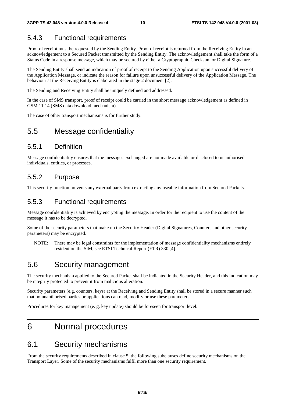# 5.4.3 Functional requirements

Proof of receipt must be requested by the Sending Entity. Proof of receipt is returned from the Receiving Entity in an acknowledgement to a Secured Packet transmitted by the Sending Entity. The acknowledgement shall take the form of a Status Code in a response message, which may be secured by either a Cryptographic Checksum or Digital Signature.

The Sending Entity shall send an indication of proof of receipt to the Sending Application upon successful delivery of the Application Message, or indicate the reason for failure upon unsuccessful delivery of the Application Message. The behaviour at the Receiving Entity is elaborated in the stage 2 document [2].

The Sending and Receiving Entity shall be uniquely defined and addressed.

In the case of SMS transport, proof of receipt could be carried in the short message acknowledgement as defined in GSM 11.14 (SMS data download mechanism).

The case of other transport mechanisms is for further study.

# 5.5 Message confidentiality

### 5.5.1 Definition

Message confidentiality ensures that the messages exchanged are not made available or disclosed to unauthorised individuals, entities, or processes.

### 5.5.2 Purpose

This security function prevents any external party from extracting any useable information from Secured Packets.

### 5.5.3 Functional requirements

Message confidentiality is achieved by encrypting the message. In order for the recipient to use the content of the message it has to be decrypted.

Some of the security parameters that make up the Security Header (Digital Signatures, Counters and other security parameters) may be encrypted.

NOTE: There may be legal constraints for the implementation of message confidentiality mechanisms entirely resident on the SIM, see ETSI Technical Report (ETR) 330 [4].

# 5.6 Security management

The security mechanism applied to the Secured Packet shall be indicated in the Security Header, and this indication may be integrity protected to prevent it from malicious alteration.

Security parameters (e.g. counters, keys) at the Receiving and Sending Entity shall be stored in a secure manner such that no unauthorised parties or applications can read, modify or use these parameters.

Procedures for key management (e. g. key update) should be foreseen for transport level.

# 6 Normal procedures

# 6.1 Security mechanisms

From the security requirements described in clause 5, the following subclauses define security mechanisms on the Transport Layer. Some of the security mechanisms fulfil more than one security requirement.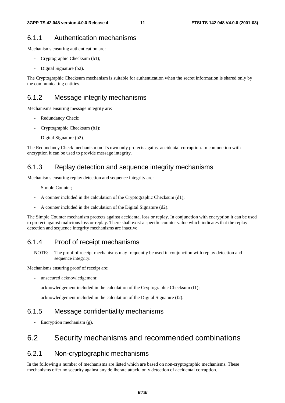#### 6.1.1 Authentication mechanisms

Mechanisms ensuring authentication are:

- Cryptographic Checksum (b1);
- Digital Signature (b2).

The Cryptographic Checksum mechanism is suitable for authentication when the secret information is shared only by the communicating entities.

#### 6.1.2 Message integrity mechanisms

Mechanisms ensuring message integrity are:

- Redundancy Check;
- Cryptographic Checksum (b1);
- Digital Signature (b2).

The Redundancy Check mechanism on it's own only protects against accidental corruption. In conjunction with encryption it can be used to provide message integrity.

#### 6.1.3 Replay detection and sequence integrity mechanisms

Mechanisms ensuring replay detection and sequence integrity are:

- Simple Counter;
- A counter included in the calculation of the Cryptographic Checksum (d1);
- A counter included in the calculation of the Digital Signature (d2).

The Simple Counter mechanism protects against accidental loss or replay. In conjunction with encryption it can be used to protect against malicious loss or replay. There shall exist a specific counter value which indicates that the replay detection and sequence integrity mechanisms are inactive.

#### 6.1.4 Proof of receipt mechanisms

NOTE: The proof of receipt mechanisms may frequently be used in conjunction with replay detection and sequence integrity.

Mechanisms ensuring proof of receipt are:

- unsecured acknowledgement;
- acknowledgement included in the calculation of the Cryptographic Checksum (f1);
- acknowledgement included in the calculation of the Digital Signature (f2).

#### 6.1.5 Message confidentiality mechanisms

Encryption mechanism (g).

# 6.2 Security mechanisms and recommended combinations

#### 6.2.1 Non-cryptographic mechanisms

In the following a number of mechanisms are listed which are based on non-cryptographic mechanisms. These mechanisms offer no security against any deliberate attack, only detection of accidental corruption.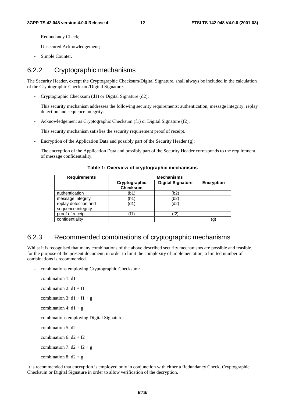- Redundancy Check;
- Unsecured Acknowledgement;
- Simple Counter.

#### 6.2.2 Cryptographic mechanisms

The Security Header, except the Cryptographic Checksum/Digital Signature, shall always be included in the calculation of the Cryptographic Checksum/Digital Signature.

- Cryptographic Checksum (d1) or Digital Signature (d2);

 This security mechanism addresses the following security requirements: authentication, message integrity, replay detection and sequence integrity.

Acknowledgement as Cryptographic Checksum (f1) or Digital Signature (f2);

This security mechanism satisfies the security requirement proof of receipt.

Encryption of the Application Data and possibly part of the Security Header (g);

 The encryption of the Application Data and possibly part of the Security Header corresponds to the requirement of message confidentiality.

Requirements **Mechanisms Mechanisms Cryptographic Checksum Digital Signature | Encryption** authentication (b1) (b2) message integrity  $|$  (b1) (b2) replay detection and sequence integrity  $(d1)$   $(d2)$ proof of receipt (f1) (f2) confidentiality (g) (g)

**Table 1: Overview of cryptographic mechanisms** 

### 6.2.3 Recommended combinations of cryptographic mechanisms

Whilst it is recognised that many combinations of the above described security mechanisms are possible and feasible, for the purpose of the present document, in order to limit the complexity of implementation, a limited number of combinations is recommended.

- combinations employing Cryptographic Checksum:

```
combination 1: d1 
combination 2: d1 + f1combination 3: d1 + f1 + gcombination 4: d1 + g- combinations employing Digital Signature: 
combination 5: d2 
combination 6: d2 + f2combination 7: d2 + f2 + gcombination 8: d2 + g
```
It is recommended that encryption is employed only in conjunction with either a Redundancy Check, Cryptographic Checksum or Digital Signature in order to allow verification of the decryption.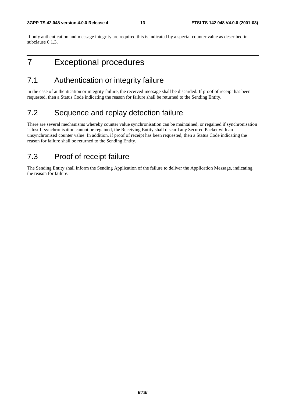If only authentication and message integrity are required this is indicated by a special counter value as described in subclause 6.1.3.

# 7 Exceptional procedures

# 7.1 Authentication or integrity failure

In the case of authentication or integrity failure, the received message shall be discarded. If proof of receipt has been requested, then a Status Code indicating the reason for failure shall be returned to the Sending Entity.

# 7.2 Sequence and replay detection failure

There are several mechanisms whereby counter value synchronisation can be maintained, or regained if synchronisation is lost If synchronisation cannot be regained, the Receiving Entity shall discard any Secured Packet with an unsynchronised counter value. In addition, if proof of receipt has been requested, then a Status Code indicating the reason for failure shall be returned to the Sending Entity.

# 7.3 Proof of receipt failure

The Sending Entity shall inform the Sending Application of the failure to deliver the Application Message, indicating the reason for failure.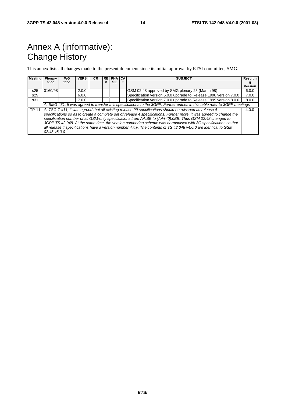# Annex A (informative): Change History

This annex lists all changes made to the present document since its initial approval by ETSI committee, SMG.

| <b>Meeting</b> | <b>Plenary</b>                                                                                                                                                                                                                                                                                                                                                                                                                                                                                                                                                                                          | WG   | <b>VERS</b> | <b>CR</b> |   | RE PHACA  |  | <b>SUBJECT</b>                                                    | <b>Resultin</b> |
|----------------|---------------------------------------------------------------------------------------------------------------------------------------------------------------------------------------------------------------------------------------------------------------------------------------------------------------------------------------------------------------------------------------------------------------------------------------------------------------------------------------------------------------------------------------------------------------------------------------------------------|------|-------------|-----------|---|-----------|--|-------------------------------------------------------------------|-----------------|
|                | tdoc                                                                                                                                                                                                                                                                                                                                                                                                                                                                                                                                                                                                    | tdoc |             |           | v | <b>SE</b> |  |                                                                   | Version         |
| s25            | 0160/98                                                                                                                                                                                                                                                                                                                                                                                                                                                                                                                                                                                                 |      | 2.0.0       |           |   |           |  | GSM 02.48 approved by SMG plenary 25 (March 98)                   | 6.0.0           |
| s29            |                                                                                                                                                                                                                                                                                                                                                                                                                                                                                                                                                                                                         |      | 6.0.0       |           |   |           |  | Specification version 6.0.0 upgrade to Release 1998 version 7.0.0 | 7.0.0           |
| s31            |                                                                                                                                                                                                                                                                                                                                                                                                                                                                                                                                                                                                         |      | 7.0.0       |           |   |           |  | Specification version 7.0.0 upgrade to Release 1999 version 8.0.0 | 8.0.0           |
|                | At SMG #31, It was agreed to transfer this specifications to the 3GPP. Further entries in this table refer to 3GPP meetings                                                                                                                                                                                                                                                                                                                                                                                                                                                                             |      |             |           |   |           |  |                                                                   |                 |
| <b>TP-11</b>   | At TSG-T #11, it was agreed that all existing release 99 specifications should be reissued as release 4<br>4.0.0<br>specifications so as to create a complete set of release 4 specifications. Further more, it was agreed to change the<br>specification number of all GSM-only specifications from AA.BB to (AA+40).0BB. Thus GSM 02.48 changed to<br>3GPP TS 42.048. At the same time, the version numbering scheme was harmonised with 3G specifications so that<br>all release 4 specifications have a version number 4.x.y. The contents of TS 42.048 v4.0.0 are identical to GSM<br>02.48 v8.0.0 |      |             |           |   |           |  |                                                                   |                 |